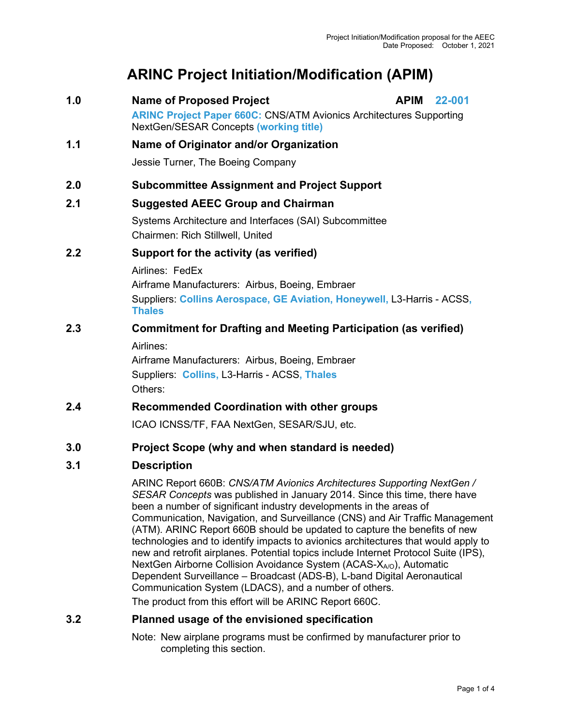# **ARINC Project Initiation/Modification (APIM)**

**1.0 Name of Proposed Project APIM 22-001 ARINC Project Paper 660C:** CNS/ATM Avionics Architectures Supporting NextGen/SESAR Concepts **(working title) 1.1 Name of Originator and/or Organization** Jessie Turner, The Boeing Company **2.0 Subcommittee Assignment and Project Support 2.1 Suggested AEEC Group and Chairman** Systems Architecture and Interfaces (SAI) Subcommittee Chairmen: Rich Stillwell, United **2.2 Support for the activity (as verified)** Airlines: FedEx Airframe Manufacturers: Airbus, Boeing, Embraer Suppliers: **Collins Aerospace, GE Aviation, Honeywell,** L3-Harris - ACSS**, Thales 2.3 Commitment for Drafting and Meeting Participation (as verified)** Airlines:

Airframe Manufacturers: Airbus, Boeing, Embraer Suppliers: **Collins,** L3-Harris - ACSS**, Thales** Others:

# **2.4 Recommended Coordination with other groups**

ICAO ICNSS/TF, FAA NextGen, SESAR/SJU, etc.

## **3.0 Project Scope (why and when standard is needed)**

## **3.1 Description**

ARINC Report 660B: *CNS/ATM Avionics Architectures Supporting NextGen / SESAR Concepts* was published in January 2014. Since this time, there have been a number of significant industry developments in the areas of Communication, Navigation, and Surveillance (CNS) and Air Traffic Management (ATM). ARINC Report 660B should be updated to capture the benefits of new technologies and to identify impacts to avionics architectures that would apply to new and retrofit airplanes. Potential topics include Internet Protocol Suite (IPS), NextGen Airborne Collision Avoidance System (ACAS-X<sub>A/O</sub>), Automatic Dependent Surveillance – Broadcast (ADS-B), L-band Digital Aeronautical Communication System (LDACS), and a number of others.

The product from this effort will be ARINC Report 660C.

## **3.2 Planned usage of the envisioned specification**

Note: New airplane programs must be confirmed by manufacturer prior to completing this section.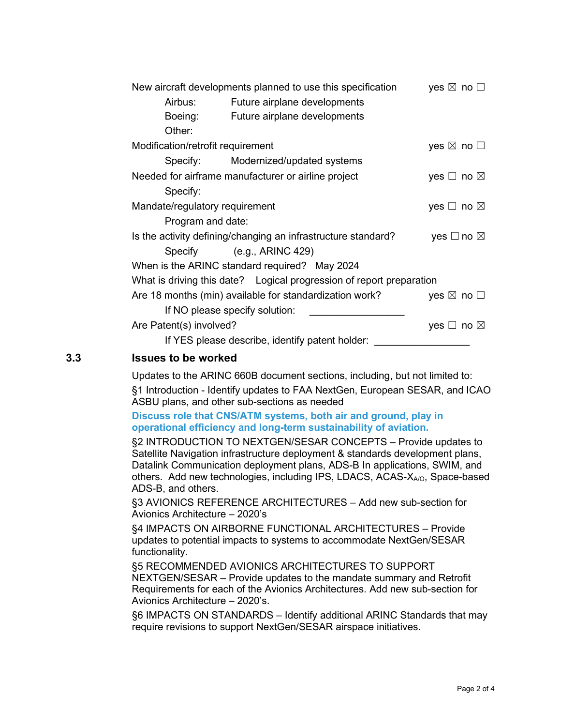| New aircraft developments planned to use this specification   | yes $\boxtimes$ no $\square$                                         |                              |  |  |
|---------------------------------------------------------------|----------------------------------------------------------------------|------------------------------|--|--|
| Airbus:                                                       | Future airplane developments                                         |                              |  |  |
| Boeing:                                                       | Future airplane developments                                         |                              |  |  |
| Other:                                                        |                                                                      |                              |  |  |
| Modification/retrofit requirement                             |                                                                      | yes $\boxtimes$ no $\square$ |  |  |
|                                                               | Specify: Modernized/updated systems                                  |                              |  |  |
| Needed for airframe manufacturer or airline project           | yes $\Box$ no $\boxtimes$                                            |                              |  |  |
| Specify:                                                      |                                                                      |                              |  |  |
| Mandate/regulatory requirement                                |                                                                      | yes $\Box$ no $\boxtimes$    |  |  |
| Program and date:                                             |                                                                      |                              |  |  |
| Is the activity defining/changing an infrastructure standard? | yes $\square$ no $\square$                                           |                              |  |  |
|                                                               | Specify (e.g., ARINC 429)                                            |                              |  |  |
| When is the ARINC standard required? May 2024                 |                                                                      |                              |  |  |
|                                                               | What is driving this date? Logical progression of report preparation |                              |  |  |
| Are 18 months (min) available for standardization work?       | yes $\boxtimes$ no $\square$                                         |                              |  |  |
|                                                               | If NO please specify solution:                                       |                              |  |  |
| Are Patent(s) involved?                                       | yes $\Box$ no $\boxtimes$                                            |                              |  |  |
| If YES please describe, identify patent holder:               |                                                                      |                              |  |  |

#### **3.3 Issues to be worked**

Updates to the ARINC 660B document sections, including, but not limited to: §1 Introduction - Identify updates to FAA NextGen, European SESAR, and ICAO ASBU plans, and other sub-sections as needed

#### **Discuss role that CNS/ATM systems, both air and ground, play in operational efficiency and long-term sustainability of aviation.**

§2 INTRODUCTION TO NEXTGEN/SESAR CONCEPTS – Provide updates to Satellite Navigation infrastructure deployment & standards development plans, Datalink Communication deployment plans, ADS-B In applications, SWIM, and others. Add new technologies, including IPS, LDACS, ACAS-X<sub>A/O</sub>, Space-based ADS-B, and others.

§3 AVIONICS REFERENCE ARCHITECTURES – Add new sub-section for Avionics Architecture – 2020's

§4 IMPACTS ON AIRBORNE FUNCTIONAL ARCHITECTURES – Provide updates to potential impacts to systems to accommodate NextGen/SESAR functionality.

§5 RECOMMENDED AVIONICS ARCHITECTURES TO SUPPORT NEXTGEN/SESAR – Provide updates to the mandate summary and Retrofit Requirements for each of the Avionics Architectures. Add new sub-section for Avionics Architecture – 2020's.

§6 IMPACTS ON STANDARDS – Identify additional ARINC Standards that may require revisions to support NextGen/SESAR airspace initiatives.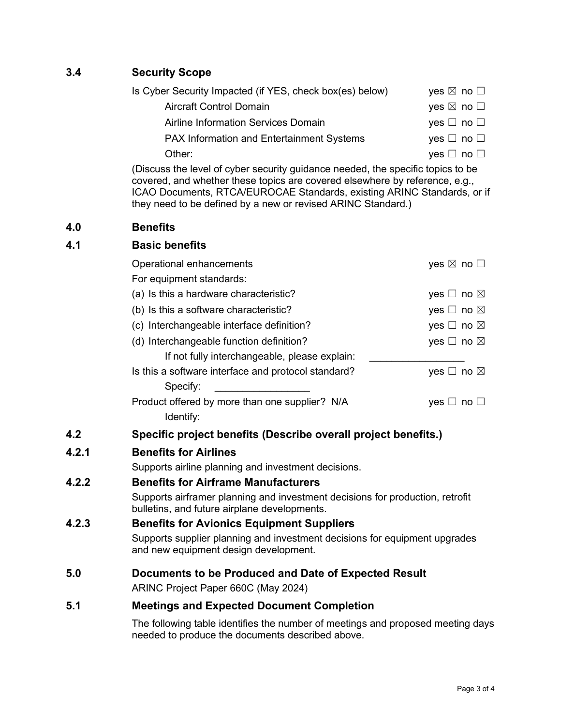# **3.4 Security Scope**

| Is Cyber Security Impacted (if YES, check box(es) below) | yes $\boxtimes$ no $\Box$ |
|----------------------------------------------------------|---------------------------|
| <b>Aircraft Control Domain</b>                           | yes $\boxtimes$ no $\Box$ |
| Airline Information Services Domain                      | yes $\Box$ no $\Box$      |
| <b>PAX Information and Entertainment Systems</b>         | yes $\Box$ no $\Box$      |
| Other:                                                   | yes $\Box$ no $\Box$      |

(Discuss the level of cyber security guidance needed, the specific topics to be covered, and whether these topics are covered elsewhere by reference, e.g., ICAO Documents, RTCA/EUROCAE Standards, existing ARINC Standards, or if they need to be defined by a new or revised ARINC Standard.)

#### **4.0 Benefits**

#### **4.1 Basic benefits**

| Operational enhancements | yes $\boxtimes$ no $\square$                        |                           |
|--------------------------|-----------------------------------------------------|---------------------------|
| For equipment standards: |                                                     |                           |
|                          | (a) Is this a hardware characteristic?              | yes $\Box$ no $\boxtimes$ |
|                          | (b) Is this a software characteristic?              | yes $\Box$ no $\boxtimes$ |
|                          | (c) Interchangeable interface definition?           | yes $\Box$ no $\boxtimes$ |
|                          | (d) Interchangeable function definition?            | yes $\Box$ no $\boxtimes$ |
|                          | If not fully interchangeable, please explain:       |                           |
|                          | Is this a software interface and protocol standard? | yes $\Box$ no $\boxtimes$ |
| Specify:                 |                                                     |                           |
|                          | Product offered by more than one supplier? N/A      | <b>ves</b>                |
| Identify:                |                                                     |                           |

## **4.2 Specific project benefits (Describe overall project benefits.)**

## **4.2.1 Benefits for Airlines**

Supports airline planning and investment decisions.

## **4.2.2 Benefits for Airframe Manufacturers**

Supports airframer planning and investment decisions for production, retrofit bulletins, and future airplane developments.

## **4.2.3 Benefits for Avionics Equipment Suppliers**

Supports supplier planning and investment decisions for equipment upgrades and new equipment design development.

#### **5.0 Documents to be Produced and Date of Expected Result**

ARINC Project Paper 660C (May 2024)

#### **5.1 Meetings and Expected Document Completion**

The following table identifies the number of meetings and proposed meeting days needed to produce the documents described above.